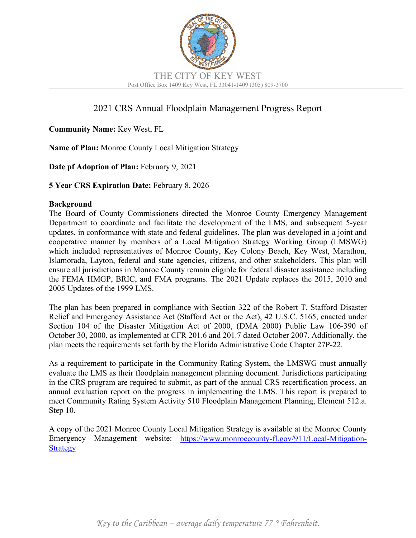

# 2021 CRS Annual Floodplain Management Progress Report

## **Community Name:** Key West, FL

**Name of Plan:** Monroe County Local Mitigation Strategy

**Date pf Adoption of Plan:** February 9, 2021

**5 Year CRS Expiration Date:** February 8, 2026

#### **Background**

The Board of County Commissioners directed the Monroe County Emergency Management Department to coordinate and facilitate the development of the LMS, and subsequent 5-year updates, in conformance with state and federal guidelines. The plan was developed in a joint and cooperative manner by members of a Local Mitigation Strategy Working Group (LMSWG) which included representatives of Monroe County, Key Colony Beach, Key West, Marathon, Islamorada, Layton, federal and state agencies, citizens, and other stakeholders. This plan will ensure all jurisdictions in Monroe County remain eligible for federal disaster assistance including the FEMA HMGP, BRIC, and FMA programs. The 2021 Update replaces the 2015, 2010 and 2005 Updates of the 1999 LMS.

The plan has been prepared in compliance with Section 322 of the Robert T. Stafford Disaster Relief and Emergency Assistance Act (Stafford Act or the Act), 42 U.S.C. 5165, enacted under Section 104 of the Disaster Mitigation Act of 2000, (DMA 2000) Public Law 106-390 of October 30, 2000, as implemented at CFR 201.6 and 201.7 dated October 2007. Additionally, the plan meets the requirements set forth by the Florida Administrative Code Chapter 27P-22.

As a requirement to participate in the Community Rating System, the LMSWG must annually evaluate the LMS as their floodplain management planning document. Jurisdictions participating in the CRS program are required to submit, as part of the annual CRS recertification process, an annual evaluation report on the progress in implementing the LMS. This report is prepared to meet Community Rating System Activity 510 Floodplain Management Planning, Element 512.a. Step 10.

A copy of the 2021 Monroe County Local Mitigation Strategy is available at the Monroe County Emergency Management website: [https://www.monroecounty-fl.gov/911/Local-Mitigation-](https://www.monroecounty-fl.gov/911/Local-Mitigation-Strategy)**[Strategy](https://www.monroecounty-fl.gov/911/Local-Mitigation-Strategy)**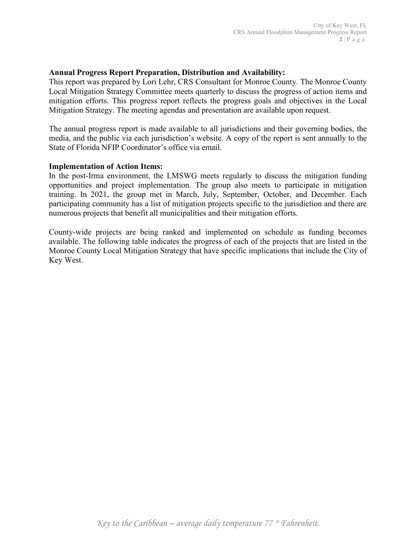### **Annual Progress Report Preparation, Distribution and Availability:**

This report was prepared by Lori Lehr, CRS Consultant for Monroe County. The Monroe County Local Mitigation Strategy Committee meets quarterly to discuss the progress of action items and mitigation efforts. This progress report reflects the progress goals and objectives in the Local Mitigation Strategy. The meeting agendas and presentation are available upon request.

The annual progress report is made available to all jurisdictions and their governing bodies, the media, and the public via each jurisdiction's website. A copy of the report is sent annually to the State of Florida NFIP Coordinator's office via email.

#### **Implementation of Action Items:**

In the post-Irma environment, the LMSWG meets regularly to discuss the mitigation funding opportunities and project implementation. The group also meets to participate in mitigation training. In 2021, the group met in March, July, September, October, and December. Each participating community has a list of mitigation projects specific to the jurisdiction and there are numerous projects that benefit all municipalities and their mitigation efforts.

County-wide projects are being ranked and implemented on schedule as funding becomes available. The following table indicates the progress of each of the projects that are listed in the Monroe County Local Mitigation Strategy that have specific implications that include the City of Key West.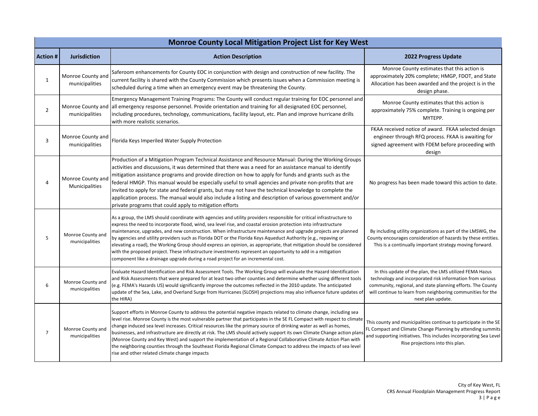| Monroe County Local Mitigation Project List for Key West |                                     |                                                                                                                                                                                                                                                                                                                                                                                                                                                                                                                                                                                                                                                                                                                                                                                                        |                                                                                                                                                                                                                                                                         |
|----------------------------------------------------------|-------------------------------------|--------------------------------------------------------------------------------------------------------------------------------------------------------------------------------------------------------------------------------------------------------------------------------------------------------------------------------------------------------------------------------------------------------------------------------------------------------------------------------------------------------------------------------------------------------------------------------------------------------------------------------------------------------------------------------------------------------------------------------------------------------------------------------------------------------|-------------------------------------------------------------------------------------------------------------------------------------------------------------------------------------------------------------------------------------------------------------------------|
| <b>Action#</b>                                           | <b>Jurisdiction</b>                 | <b>Action Description</b>                                                                                                                                                                                                                                                                                                                                                                                                                                                                                                                                                                                                                                                                                                                                                                              | 2022 Progress Update                                                                                                                                                                                                                                                    |
| $\mathbf{1}$                                             | Monroe County and<br>municipalities | Saferoom enhancements for County EOC in conjunction with design and construction of new facility. The<br>current facility is shared with the County Commission which presents issues when a Commission meeting is<br>scheduled during a time when an emergency event may be threatening the County.                                                                                                                                                                                                                                                                                                                                                                                                                                                                                                    | Monroe County estimates that this action is<br>approximately 20% complete; HMGP, FDOT, and State<br>Allocation has been awarded and the project is in the<br>design phase.                                                                                              |
| $\overline{2}$                                           | Monroe County and<br>municipalities | Emergency Management Training Programs: The County will conduct regular training for EOC personnel and<br>all emergency response personnel. Provide orientation and training for all designated EOC personnel,<br>including procedures, technology, communications, facility layout, etc. Plan and improve hurricane drills<br>with more realistic scenarios.                                                                                                                                                                                                                                                                                                                                                                                                                                          | Monroe County estimates that this action is<br>approximately 75% complete. Training is ongoing per<br>MYTEPP.                                                                                                                                                           |
| 3                                                        | Monroe County and<br>municipalities | Florida Keys Imperiled Water Supply Protection                                                                                                                                                                                                                                                                                                                                                                                                                                                                                                                                                                                                                                                                                                                                                         | FKAA received notice of award. FKAA selected design<br>engineer through RFQ process. FKAA is awaiting for<br>signed agreement with FDEM before proceeding with<br>design                                                                                                |
| 4                                                        | Monroe County and<br>Municipalities | Production of a Mitigation Program Technical Assistance and Resource Manual: During the Working Groups<br>activities and discussions, it was determined that there was a need for an assistance manual to identify<br>mitigation assistance programs and provide direction on how to apply for funds and grants such as the<br>federal HMGP. This manual would be especially useful to small agencies and private non-profits that are<br>invited to apply for state and federal grants, but may not have the technical knowledge to complete the<br>application process. The manual would also include a listing and description of various government and/or<br>private programs that could apply to mitigation efforts                                                                              | No progress has been made toward this action to date.                                                                                                                                                                                                                   |
| 5                                                        | Monroe County and<br>municipalities | As a group, the LMS should coordinate with agencies and utility providers responsible for critical infrastructure to<br>express the need to incorporate flood, wind, sea level rise, and coastal erosion protection into infrastructure<br>maintenance, upgrades, and new construction. When infrastructure maintenance and upgrade projects are planned<br>by agencies and utility providers such as Florida DOT or the Florida Keys Aqueduct Authority (e.g., repaving or<br>elevating a road), the Working Group should express an opinion, as appropriate, that mitigation should be considered<br>with the proposed project. These infrastructure investments represent an opportunity to add in a mitigation<br>component like a drainage upgrade during a road project for an incremental cost. | By including utility organizations as part of the LMSWG, the<br>County encourages consideration of hazards by these entities.<br>This is a continually important strategy moving forward.                                                                               |
| 6                                                        | Monroe County and<br>municipalities | Evaluate Hazard Identification and Risk Assessment Tools. The Working Group will evaluate the Hazard Identification<br>and Risk Assessments that were prepared for at least two other counties and determine whether using different tools<br>(e.g. FEMA's Hazards US) would significantly improve the outcomes reflected in the 2010 update. The anticipated<br>update of the Sea, Lake, and Overland Surge from Hurricanes (SLOSH) projections may also influence future updates of<br>the HIRA)                                                                                                                                                                                                                                                                                                     | In this update of the plan, the LMS utilized FEMA Hazus<br>technology and incorporated risk information from various<br>community, regional, and state planning efforts. The County<br>will continue to learn from neighboring communities for the<br>next plan update. |
| $\overline{7}$                                           | Monroe County and<br>municipalities | Support efforts in Monroe County to address the potential negative impacts related to climate change, including sea<br>level rise. Monroe County is the most vulnerable partner that participates in the SE FL Compact with respect to climate<br>change induced sea level increases. Critical resources like the primary source of drinking water as well as homes,<br>businesses, and infrastructure are directly at risk. The LMS should actively support its own Climate Change action plan<br>(Monroe County and Key West) and support the implementation of a Regional Collaborative Climate Action Plan with<br>the neighboring counties through the Southeast Florida Regional Climate Compact to address the impacts of sea level<br>rise and other related climate change impacts            | This county and municipalities continue to participate in the SE<br>FL Compact and Climate Change Planning by attending summits<br>and supporting initiatives. This includes incorporating Sea Level<br>Rise projections into this plan.                                |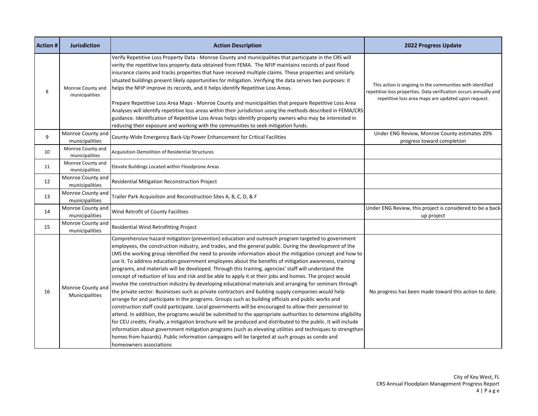| <b>Action #</b> | <b>Jurisdiction</b>                 | <b>Action Description</b>                                                                                                                                                                                                                                                                                                                                                                                                                                                                                                                                                                                                                                                                                                                                                                                                                                                                                                                                                                                                                                                                                                                                                                                                                                                                                                                                                                                                                                                                                                                                                   | 2022 Progress Update                                                                                                                                                                  |
|-----------------|-------------------------------------|-----------------------------------------------------------------------------------------------------------------------------------------------------------------------------------------------------------------------------------------------------------------------------------------------------------------------------------------------------------------------------------------------------------------------------------------------------------------------------------------------------------------------------------------------------------------------------------------------------------------------------------------------------------------------------------------------------------------------------------------------------------------------------------------------------------------------------------------------------------------------------------------------------------------------------------------------------------------------------------------------------------------------------------------------------------------------------------------------------------------------------------------------------------------------------------------------------------------------------------------------------------------------------------------------------------------------------------------------------------------------------------------------------------------------------------------------------------------------------------------------------------------------------------------------------------------------------|---------------------------------------------------------------------------------------------------------------------------------------------------------------------------------------|
| 8               | Monroe County and<br>municipalities | Verify Repetitive Loss Property Data - Monroe County and municipalities that participate in the CRS will<br>verity the repetitive loss property data obtained from FEMA. The NFIP maintains records of past flood<br>insurance claims and tracks properties that have received multiple claims. These properties and similarly<br>situated buildings present likely opportunities for mitigation. Verifying the data serves two purposes: it<br>helps the NFIP improve its records, and it helps identify Repetitive Loss Areas.<br>Prepare Repetitive Loss Area Maps - Monroe County and municipalities that prepare Repetitive Loss Area<br>Analyses will identify repetitive loss areas within their jurisdiction using the methods described in FEMA/CRS<br>guidance. Identification of Repetitive Loss Areas helps identify property owners who may be interested in<br>reducing their exposure and working with the communities to seek mitigation funds.                                                                                                                                                                                                                                                                                                                                                                                                                                                                                                                                                                                                             | This action is ongoing in the communities with identified<br>repetitive loss properties. Data verification occurs annually and<br>repetitive loss area maps are updated upon request. |
| 9               | Monroe County and<br>municipalities | County-Wide Emergency Back-Up Power Enhancement for Critical Facilities                                                                                                                                                                                                                                                                                                                                                                                                                                                                                                                                                                                                                                                                                                                                                                                                                                                                                                                                                                                                                                                                                                                                                                                                                                                                                                                                                                                                                                                                                                     | Under ENG Review, Monroe County estimates 20%<br>progress toward completion                                                                                                           |
| 10              | Monroe County and<br>municipalities | Acquisition-Demolition of Residential Structures                                                                                                                                                                                                                                                                                                                                                                                                                                                                                                                                                                                                                                                                                                                                                                                                                                                                                                                                                                                                                                                                                                                                                                                                                                                                                                                                                                                                                                                                                                                            |                                                                                                                                                                                       |
| 11              | Monroe County and<br>municipalities | Elevate Buildings Located within Floodprone Areas                                                                                                                                                                                                                                                                                                                                                                                                                                                                                                                                                                                                                                                                                                                                                                                                                                                                                                                                                                                                                                                                                                                                                                                                                                                                                                                                                                                                                                                                                                                           |                                                                                                                                                                                       |
| 12              | Monroe County and<br>municipalities | Residential Mitigation Reconstruction Project                                                                                                                                                                                                                                                                                                                                                                                                                                                                                                                                                                                                                                                                                                                                                                                                                                                                                                                                                                                                                                                                                                                                                                                                                                                                                                                                                                                                                                                                                                                               |                                                                                                                                                                                       |
| 13              | Monroe County and<br>municipalities | Trailer Park Acquisition and Reconstruction Sites A, B, C, D, & F                                                                                                                                                                                                                                                                                                                                                                                                                                                                                                                                                                                                                                                                                                                                                                                                                                                                                                                                                                                                                                                                                                                                                                                                                                                                                                                                                                                                                                                                                                           |                                                                                                                                                                                       |
| 14              | Monroe County and<br>municipalities | Wind Retrofit of County Facilities                                                                                                                                                                                                                                                                                                                                                                                                                                                                                                                                                                                                                                                                                                                                                                                                                                                                                                                                                                                                                                                                                                                                                                                                                                                                                                                                                                                                                                                                                                                                          | Under ENG Review, this project is considered to be a back-<br>up project                                                                                                              |
| 15              | Monroe County and<br>municipalities | Residential Wind Retrofitting Project                                                                                                                                                                                                                                                                                                                                                                                                                                                                                                                                                                                                                                                                                                                                                                                                                                                                                                                                                                                                                                                                                                                                                                                                                                                                                                                                                                                                                                                                                                                                       |                                                                                                                                                                                       |
| 16              | Monroe County and<br>Municipalities | Comprehensive hazard mitigation (prevention) education and outreach program targeted to government<br>employees, the construction industry, and trades, and the general public. During the development of the<br>LMS the working group identified the need to provide information about the mitigation concept and how to<br>use it. To address education government employees about the benefits of mitigation awareness, training<br>programs, and materials will be developed. Through this training, agencies' staff will understand the<br>concept of reduction of loss and risk and be able to apply it at their jobs and homes. The project would<br>involve the construction industry by developing educational materials and arranging for seminars through<br>the private sector. Businesses such as private contractors and building supply companies would help<br>arrange for and participate in the programs. Groups such as building officials and public works and<br>construction staff could participate. Local governments will be encouraged to allow their personnel to<br>attend. In addition, the programs would be submitted to the appropriate authorities to determine eligibility<br>for CEU credits. Finally, a mitigation brochure will be produced and distributed to the public. It will include<br>information about government mitigation programs (such as elevating utilities and techniques to strengthen<br>homes from hazards). Public information campaigns will be targeted at such groups as condo and<br>Ihomeowners associations | No progress has been made toward this action to date.                                                                                                                                 |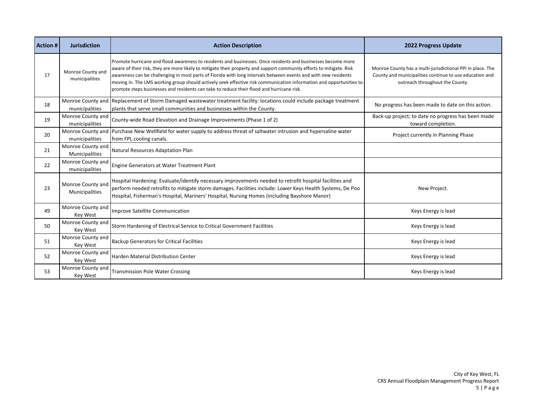| <b>Action#</b> | <b>Jurisdiction</b>                        | <b>Action Description</b>                                                                                                                                                                                                                                                                                                                                                                                                                                                                                                                                                   | 2022 Progress Update                                                                                                                                     |
|----------------|--------------------------------------------|-----------------------------------------------------------------------------------------------------------------------------------------------------------------------------------------------------------------------------------------------------------------------------------------------------------------------------------------------------------------------------------------------------------------------------------------------------------------------------------------------------------------------------------------------------------------------------|----------------------------------------------------------------------------------------------------------------------------------------------------------|
| 17             | Monroe County and<br>municipalities        | Promote hurricane and flood awareness to residents and businesses. Once residents and businesses become more<br>aware of their risk, they are more likely to mitigate their property and support community efforts to mitigate. Risk<br>awareness can be challenging in most parts of Florida with long intervals between events and with new residents<br>moving in. The LMS working group should actively seek effective risk communication information and opportunities to<br>promote steps businesses and residents can take to reduce their flood and hurricane risk. | Monroe County has a multi-jurisdictional PPI in place. The<br>County and municipalities continue to use education and<br>outreach throughout the County. |
| 18             | municipalities                             | Monroe County and Replacement of Storm Damaged wastewater treatment facility: locations could include package treatment<br>plants that serve small communities and businesses within the County.                                                                                                                                                                                                                                                                                                                                                                            | No progress has been made to date on this action.                                                                                                        |
| 19             | Monroe County and<br>municipalities        | County-wide Road Elevation and Drainage Improvements (Phase 1 of 2)                                                                                                                                                                                                                                                                                                                                                                                                                                                                                                         | Back-up project; to date no progress has been made<br>toward completion.                                                                                 |
| 20             | municipalities                             | Monroe County and Purchase New Wellfield for water supply to address threat of saltwater intrusion and hypersaline water<br>from FPL cooling canals.                                                                                                                                                                                                                                                                                                                                                                                                                        | Project currently in Planning Phase                                                                                                                      |
| 21             | Monroe County and<br><b>Municipalities</b> | Natural Resources Adaptation Plan                                                                                                                                                                                                                                                                                                                                                                                                                                                                                                                                           |                                                                                                                                                          |
| 22             | Monroe County and<br>municipalities        | Engine Generators at Water Treatment Plant                                                                                                                                                                                                                                                                                                                                                                                                                                                                                                                                  |                                                                                                                                                          |
| 23             | Monroe County and<br>Municipalities        | Hospital Hardening: Evaluate/identify necessary improvements needed to retrofit hospital facilities and<br>perform needed retrofits to mitigate storm damages. Facilities include: Lower Keys Health Systems, De Poo<br>Hospital, Fisherman's Hospital, Mariners' Hospital, Nursing Homes (including Bayshore Manor)                                                                                                                                                                                                                                                        | New Project.                                                                                                                                             |
| 49             | Monroe County and<br>Key West              | Improve Satellite Communication                                                                                                                                                                                                                                                                                                                                                                                                                                                                                                                                             | Keys Energy is lead                                                                                                                                      |
| 50             | Monroe County and<br>Key West              | Storm Hardening of Electrical Service to Critical Government Facilities                                                                                                                                                                                                                                                                                                                                                                                                                                                                                                     | Keys Energy is lead                                                                                                                                      |
| 51             | Monroe County and<br><b>Key West</b>       | <b>Backup Generators for Critical Facilities</b>                                                                                                                                                                                                                                                                                                                                                                                                                                                                                                                            | Keys Energy is lead                                                                                                                                      |
| 52             | Monroe County and<br>Key West              | Harden Material Distribution Center                                                                                                                                                                                                                                                                                                                                                                                                                                                                                                                                         | Keys Energy is lead                                                                                                                                      |
| 53             | Monroe County and<br><b>Key West</b>       | <b>Transmission Pole Water Crossing</b>                                                                                                                                                                                                                                                                                                                                                                                                                                                                                                                                     | Keys Energy is lead                                                                                                                                      |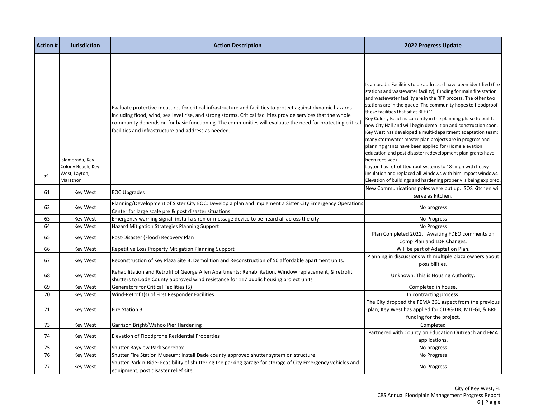| <b>Action #</b> | <b>Jurisdiction</b>                                               | <b>Action Description</b>                                                                                                                                                                                                                                                                                                                                                                         | <b>2022 Progress Update</b>                                                                                                                                                                                                                                                                                                                                                                                                                                                                                                                                                                                                                                                                                                                                                                                                                                                                                            |
|-----------------|-------------------------------------------------------------------|---------------------------------------------------------------------------------------------------------------------------------------------------------------------------------------------------------------------------------------------------------------------------------------------------------------------------------------------------------------------------------------------------|------------------------------------------------------------------------------------------------------------------------------------------------------------------------------------------------------------------------------------------------------------------------------------------------------------------------------------------------------------------------------------------------------------------------------------------------------------------------------------------------------------------------------------------------------------------------------------------------------------------------------------------------------------------------------------------------------------------------------------------------------------------------------------------------------------------------------------------------------------------------------------------------------------------------|
| 54              | Islamorada, Key<br>Colony Beach, Key<br>West, Layton,<br>Marathon | Evaluate protective measures for critical infrastructure and facilities to protect against dynamic hazards<br>including flood, wind, sea level rise, and strong storms. Critical facilities provide services that the whole<br>community depends on for basic functioning. The communities will evaluate the need for protecting critical<br>facilities and infrastructure and address as needed. | Islamorada: Facilities to be addressed have been identified (fire<br>stations and wastewater facility); funding for main fire station<br>and wastewater facility are in the RFP process. The other two<br>stations are in the queue. The community hopes to floodproof<br>these facilities that sit at BFE+1'.<br>Key Colony Beach is currently in the planning phase to build a<br>new City Hall and will begin demolition and construction soon.<br>Key West has developed a multi-department adaptation team;<br>many stormwater master plan projects are in progress and<br>planning grants have been applied for (Home elevation<br>education and post disaster redevelopment plan grants have<br>been received)<br>Layton has retrofitted roof systems to 18- mph with heavy<br>insulation and replaced all windows with him impact windows.<br>Elevation of buildings and hardening properly is being explored. |
| 61              | Key West                                                          | <b>EOC Upgrades</b>                                                                                                                                                                                                                                                                                                                                                                               | New Communications poles were put up. SOS Kitchen will<br>serve as kitchen.                                                                                                                                                                                                                                                                                                                                                                                                                                                                                                                                                                                                                                                                                                                                                                                                                                            |
| 62              | Key West                                                          | Planning/Development of Sister City EOC: Develop a plan and implement a Sister City Emergency Operations<br>Center for large scale pre & post disaster situations                                                                                                                                                                                                                                 | No progress                                                                                                                                                                                                                                                                                                                                                                                                                                                                                                                                                                                                                                                                                                                                                                                                                                                                                                            |
| 63              | <b>Key West</b>                                                   | Emergency warning signal: install a siren or message device to be heard all across the city.                                                                                                                                                                                                                                                                                                      | No Progress                                                                                                                                                                                                                                                                                                                                                                                                                                                                                                                                                                                                                                                                                                                                                                                                                                                                                                            |
| 64              | Key West                                                          | Hazard Mitigation Strategies Planning Support                                                                                                                                                                                                                                                                                                                                                     | No Progress                                                                                                                                                                                                                                                                                                                                                                                                                                                                                                                                                                                                                                                                                                                                                                                                                                                                                                            |
| 65              | Key West                                                          | Post-Disaster (Flood) Recovery Plan                                                                                                                                                                                                                                                                                                                                                               | Plan Completed 2021. Awaiting FDEO comments on<br>Comp Plan and LDR Changes.                                                                                                                                                                                                                                                                                                                                                                                                                                                                                                                                                                                                                                                                                                                                                                                                                                           |
| 66              | <b>Key West</b>                                                   | Repetitive Loss Property Mitigation Planning Support                                                                                                                                                                                                                                                                                                                                              | Will be part of Adaptation Plan.                                                                                                                                                                                                                                                                                                                                                                                                                                                                                                                                                                                                                                                                                                                                                                                                                                                                                       |
| 67              | Key West                                                          | Reconstruction of Key Plaza Site B: Demolition and Reconstruction of 50 affordable apartment units.                                                                                                                                                                                                                                                                                               | Planning in discussions with multiple plaza owners about<br>possibilities.                                                                                                                                                                                                                                                                                                                                                                                                                                                                                                                                                                                                                                                                                                                                                                                                                                             |
| 68              | Key West                                                          | Rehabilitation and Retrofit of George Allen Apartments: Rehabilitation, Window replacement, & retrofit<br>shutters to Dade County approved wind resistance for 117 public housing project units                                                                                                                                                                                                   | Unknown. This is Housing Authority.                                                                                                                                                                                                                                                                                                                                                                                                                                                                                                                                                                                                                                                                                                                                                                                                                                                                                    |
| 69              | <b>Key West</b>                                                   | <b>Generators for Critical Facilities (5)</b>                                                                                                                                                                                                                                                                                                                                                     | Completed in house.                                                                                                                                                                                                                                                                                                                                                                                                                                                                                                                                                                                                                                                                                                                                                                                                                                                                                                    |
| 70              | <b>Key West</b>                                                   | Wind-Retrofit(s) of First Responder Facilities                                                                                                                                                                                                                                                                                                                                                    | In contracting process.                                                                                                                                                                                                                                                                                                                                                                                                                                                                                                                                                                                                                                                                                                                                                                                                                                                                                                |
| 71              | Key West                                                          | Fire Station 3                                                                                                                                                                                                                                                                                                                                                                                    | The City dropped the FEMA 361 aspect from the previous<br>plan; Key West has applied for CDBG-DR, MIT-GI, & BRIC<br>funding for the project.                                                                                                                                                                                                                                                                                                                                                                                                                                                                                                                                                                                                                                                                                                                                                                           |
| 73              | Key West                                                          | Garrison Bright/Wahoo Pier Hardening                                                                                                                                                                                                                                                                                                                                                              | Completed                                                                                                                                                                                                                                                                                                                                                                                                                                                                                                                                                                                                                                                                                                                                                                                                                                                                                                              |
| 74              | Key West                                                          | Elevation of Floodprone Residential Properties                                                                                                                                                                                                                                                                                                                                                    | Partnered with County on Education Outreach and FMA<br>applications.                                                                                                                                                                                                                                                                                                                                                                                                                                                                                                                                                                                                                                                                                                                                                                                                                                                   |
| 75              | <b>Key West</b>                                                   | Shutter Bayview Park Scorebox                                                                                                                                                                                                                                                                                                                                                                     | No progress                                                                                                                                                                                                                                                                                                                                                                                                                                                                                                                                                                                                                                                                                                                                                                                                                                                                                                            |
| 76              | Key West                                                          | Shutter Fire Station Museum: Install Dade county approved shutter system on structure.                                                                                                                                                                                                                                                                                                            | No Progress                                                                                                                                                                                                                                                                                                                                                                                                                                                                                                                                                                                                                                                                                                                                                                                                                                                                                                            |
| 77              | Key West                                                          | Shutter Park-n-Ride: Feasibility of shuttering the parking garage for storage of City Emergency vehicles and<br>equipment; post disaster relief site.                                                                                                                                                                                                                                             | No Progress                                                                                                                                                                                                                                                                                                                                                                                                                                                                                                                                                                                                                                                                                                                                                                                                                                                                                                            |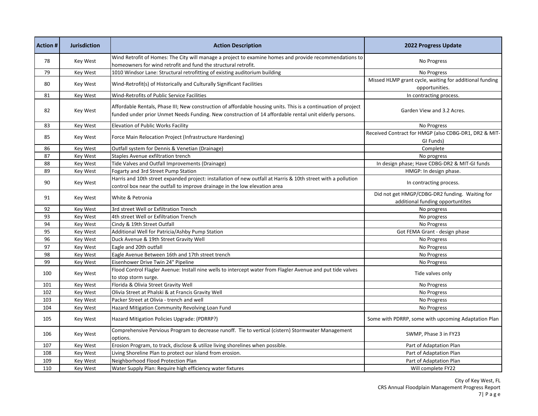| <b>Action#</b> | <b>Jurisdiction</b> | <b>Action Description</b>                                                                                                                                                                                                | <b>2022 Progress Update</b>                                                        |
|----------------|---------------------|--------------------------------------------------------------------------------------------------------------------------------------------------------------------------------------------------------------------------|------------------------------------------------------------------------------------|
| 78             | Key West            | Wind Retrofit of Homes: The City will manage a project to examine homes and provide recommendations to<br>homeowners for wind retrofit and fund the structural retrofit.                                                 | No Progress                                                                        |
| 79             | <b>Key West</b>     | 1010 Windsor Lane: Structural retrofitting of existing auditorium building                                                                                                                                               | No Progress                                                                        |
| 80             | <b>Key West</b>     | Wind-Retrofit(s) of Historically and Culturally Significant Facilities                                                                                                                                                   | Missed HLMP grant cycle, waiting for additional funding<br>opportunities.          |
| 81             | <b>Key West</b>     | Wind-Retrofits of Public Service Facilities                                                                                                                                                                              | In contracting process.                                                            |
| 82             | Key West            | Affordable Rentals, Phase III; New construction of affordable housing units. This is a continuation of project<br>funded under prior Unmet Needs Funding. New construction of 14 affordable rental unit elderly persons. | Garden View and 3.2 Acres.                                                         |
| 83             | <b>Key West</b>     | Elevation of Public Works Facility                                                                                                                                                                                       | No Progress                                                                        |
| 85             | Key West            | Force Main Relocation Project (Infrastructure Hardening)                                                                                                                                                                 | Received Contract for HMGP (also CDBG-DR1, DR2 & MIT-<br>GI Funds)                 |
| 86             | <b>Key West</b>     | Outfall system for Dennis & Venetian (Drainage)                                                                                                                                                                          | Complete                                                                           |
| 87             | Key West            | <b>Staples Avenue exfiltration trench</b>                                                                                                                                                                                | No progress                                                                        |
| 88             | <b>Key West</b>     | Tide Valves and Outfall Improvements (Drainage)                                                                                                                                                                          | In design phase; Have CDBG-DR2 & MIT-GI funds                                      |
| 89             | <b>Key West</b>     | Fogarty and 3rd Street Pump Station                                                                                                                                                                                      | HMGP: In design phase.                                                             |
| 90             | Key West            | Harris and 10th street expanded project: installation of new outfall at Harris & 10th street with a pollution<br>control box near the outfall to improve drainage in the low elevation area                              | In contracting process.                                                            |
| 91             | Key West            | White & Petronia                                                                                                                                                                                                         | Did not get HMGP/CDBG-DR2 funding. Waiting for<br>additional funding opportuntites |
| 92             | Key West            | 3rd street Well or Exfiltration Trench                                                                                                                                                                                   | No progress                                                                        |
| 93             | Key West            | 4th street Well or Exfiltration Trench                                                                                                                                                                                   | No progress                                                                        |
| 94             | Key West            | Cindy & 19th Street Outfall                                                                                                                                                                                              | No Progress                                                                        |
| 95             | Key West            | Additional Well for Patricia/Ashby Pump Station                                                                                                                                                                          | Got FEMA Grant - design phase                                                      |
| 96             | <b>Key West</b>     | Duck Avenue & 19th Street Gravity Well                                                                                                                                                                                   | No Progress                                                                        |
| 97             | <b>Key West</b>     | Eagle and 20th outfall                                                                                                                                                                                                   | No Progress                                                                        |
| 98             | Key West            | Eagle Avenue Between 16th and 17th street trench                                                                                                                                                                         | No Progress                                                                        |
| 99             | Key West            | Eisenhower Drive Twin 24" Pipeline                                                                                                                                                                                       | No Progress                                                                        |
| 100            | Key West            | Flood Control Flagler Avenue: Install nine wells to intercept water from Flagler Avenue and put tide valves<br>to stop storm surge.                                                                                      | Tide valves only                                                                   |
| 101            | Key West            | Florida & Olivia Street Gravity Well                                                                                                                                                                                     | No Progress                                                                        |
| 102            | <b>Key West</b>     | Olivia Street at Phalski & at Francis Gravity Well                                                                                                                                                                       | No Progress                                                                        |
| 103            | <b>Key West</b>     | Packer Street at Olivia - trench and well                                                                                                                                                                                | No Progress                                                                        |
| 104            | Key West            | Hazard Mitigation Community Revolving Loan Fund                                                                                                                                                                          | No Progress                                                                        |
| 105            | Key West            | Hazard Mitigation Policies Upgrade: (PDRRP?)                                                                                                                                                                             | Some with PDRRP, some with upcoming Adaptation Plan                                |
| 106            | Key West            | Comprehensive Pervious Program to decrease runoff. Tie to vertical (cistern) Stormwater Management<br>options.                                                                                                           | SWMP, Phase 3 in FY23                                                              |
| 107            | <b>Key West</b>     | Erosion Program, to track, disclose & utilize living shorelines when possible.                                                                                                                                           | Part of Adaptation Plan                                                            |
| 108            | Key West            | Living Shoreline Plan to protect our island from erosion.                                                                                                                                                                | Part of Adaptation Plan                                                            |
| 109            | Key West            | Neighborhood Flood Protection Plan                                                                                                                                                                                       | Part of Adaptation Plan                                                            |
| 110            | <b>Key West</b>     | Water Supply Plan: Require high efficiency water fixtures                                                                                                                                                                | Will complete FY22                                                                 |